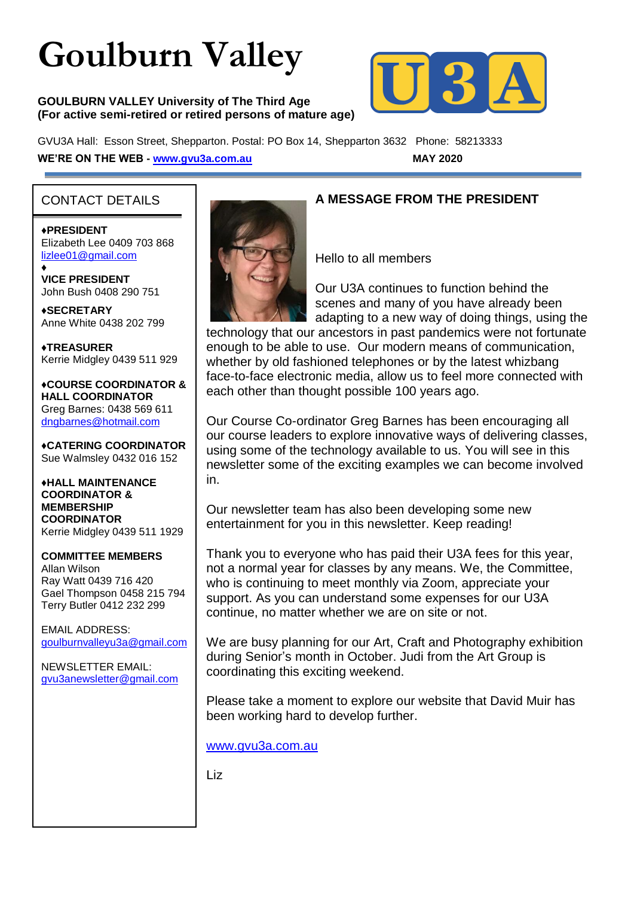# **Goulburn Valley**

#### **GOULBURN VALLEY University of The Third Age (For active semi-retired or retired persons of mature age)**



GVU3A Hall: Esson Street, Shepparton. Postal: PO Box 14, Shepparton 3632 Phone: 58213333 **WE'RE ON THE WEB - [www.gvu3a.com.au](http://www.gvu3a.com.au/) MAY 2020**

## CONTACT DETAILS

♦**PRESIDENT** Elizabeth Lee 0409 703 868 [lizlee01@gmail.com](mailto:lizlee01@gmail.com)

♦ **VICE PRESIDENT** John Bush 0408 290 751

**♦SECRETARY** Anne White 0438 202 799

**♦TREASURER** Kerrie Midgley 0439 511 929

♦**COURSE COORDINATOR & HALL COORDINATOR** Greg Barnes: 0438 569 611 [dngbarnes@hotmail.com](mailto:dngbarnes@hotmail.com)

♦**CATERING COORDINATOR** Sue Walmsley 0432 016 152

♦**HALL MAINTENANCE COORDINATOR & MEMBERSHIP COORDINATOR** Kerrie Midgley 0439 511 1929

#### **COMMITTEE MEMBERS**

Allan Wilson Ray Watt 0439 716 420 Gael Thompson 0458 215 794 Terry Butler 0412 232 299

EMAIL ADDRESS: [goulburnvalleyu3a@gmail.com](mailto:goulburnvalleyu3a@gmail.com)

NEWSLETTER EMAIL: [gvu3anewsletter@gmail.com](mailto:gvu3anewsletter@gmail.com)



### **A MESSAGE FROM THE PRESIDENT**

Hello to all members

Our U3A continues to function behind the scenes and many of you have already been adapting to a new way of doing things, using the

technology that our ancestors in past pandemics were not fortunate enough to be able to use. Our modern means of communication, whether by old fashioned telephones or by the latest whizbang face-to-face electronic media, allow us to feel more connected with each other than thought possible 100 years ago.

Our Course Co-ordinator Greg Barnes has been encouraging all our course leaders to explore innovative ways of delivering classes, using some of the technology available to us. You will see in this newsletter some of the exciting examples we can become involved in.

Our newsletter team has also been developing some new entertainment for you in this newsletter. Keep reading!

Thank you to everyone who has paid their U3A fees for this year, not a normal year for classes by any means. We, the Committee, who is continuing to meet monthly via Zoom, appreciate your support. As you can understand some expenses for our U3A continue, no matter whether we are on site or not.

We are busy planning for our Art, Craft and Photography exhibition during Senior's month in October. Judi from the Art Group is coordinating this exciting weekend.

Please take a moment to explore our website that David Muir has been working hard to develop further.

[www.gvu3a.com.au](http://www.gvu3a.com.au/)

Liz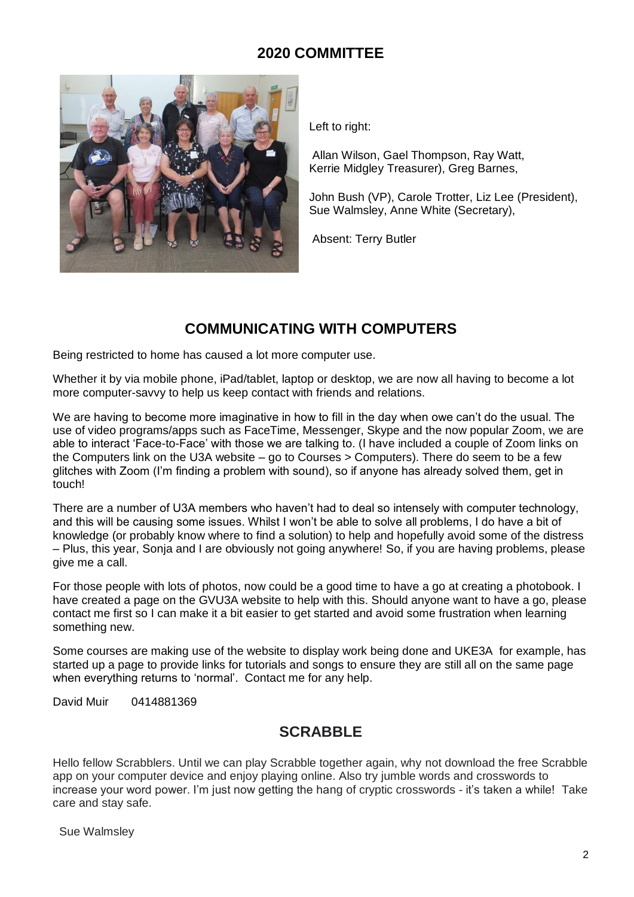## **2020 COMMITTEE**



Left to right:

Allan Wilson, Gael Thompson, Ray Watt, Kerrie Midgley Treasurer), Greg Barnes,

John Bush (VP), Carole Trotter, Liz Lee (President), Sue Walmsley, Anne White (Secretary),

Absent: Terry Butler

## **COMMUNICATING WITH COMPUTERS**

Being restricted to home has caused a lot more computer use.

Whether it by via mobile phone, iPad/tablet, laptop or desktop, we are now all having to become a lot more computer-savvy to help us keep contact with friends and relations.

We are having to become more imaginative in how to fill in the day when owe can't do the usual. The use of video programs/apps such as FaceTime, Messenger, Skype and the now popular Zoom, we are able to interact 'Face-to-Face' with those we are talking to. (I have included a couple of Zoom links on the Computers link on the U3A website – go to Courses > Computers). There do seem to be a few glitches with Zoom (I'm finding a problem with sound), so if anyone has already solved them, get in touch!

There are a number of U3A members who haven't had to deal so intensely with computer technology, and this will be causing some issues. Whilst I won't be able to solve all problems, I do have a bit of knowledge (or probably know where to find a solution) to help and hopefully avoid some of the distress – Plus, this year, Sonja and I are obviously not going anywhere! So, if you are having problems, please give me a call.

For those people with lots of photos, now could be a good time to have a go at creating a photobook. I have created a page on the GVU3A website to help with this. Should anyone want to have a go, please contact me first so I can make it a bit easier to get started and avoid some frustration when learning something new.

Some courses are making use of the website to display work being done and UKE3A for example, has started up a page to provide links for tutorials and songs to ensure they are still all on the same page when everything returns to 'normal'. Contact me for any help.

David Muir 0414881369

# **SCRABBLE**

Hello fellow Scrabblers. Until we can play Scrabble together again, why not download the free Scrabble app on your computer device and enjoy playing online. Also try jumble words and crosswords to increase your word power. I'm just now getting the hang of cryptic crosswords - it's taken a while! Take care and stay safe.

Sue Walmsley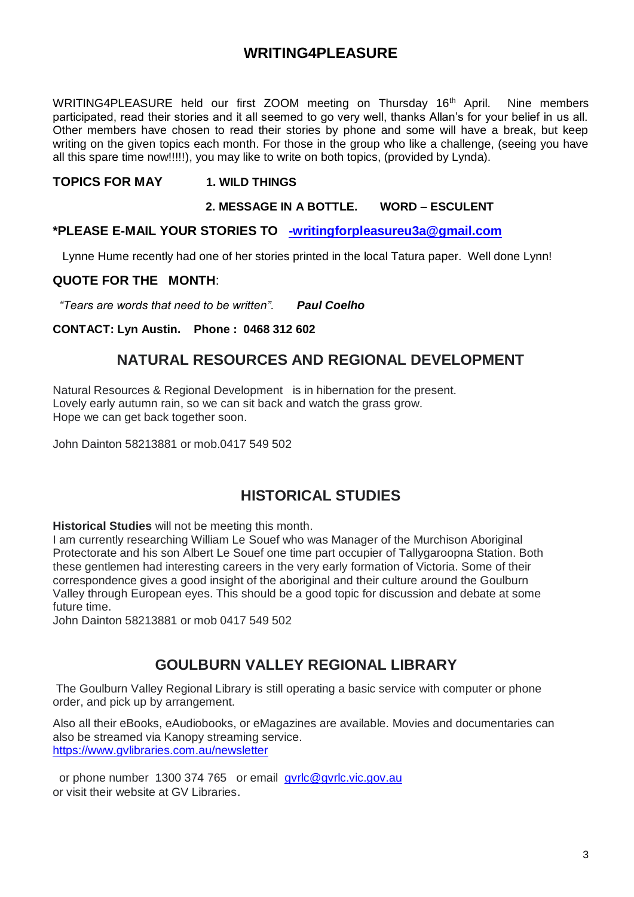## **WRITING4PLEASURE**

WRITING4PLEASURE held our first ZOOM meeting on Thursday 16<sup>th</sup> April. Nine members participated, read their stories and it all seemed to go very well, thanks Allan's for your belief in us all. Other members have chosen to read their stories by phone and some will have a break, but keep writing on the given topics each month. For those in the group who like a challenge, (seeing you have all this spare time now!!!!!), you may like to write on both topics, (provided by Lynda).

#### **TOPICS FOR MAY 1. WILD THINGS**

#### **2. MESSAGE IN A BOTTLE. WORD – ESCULENT**

#### **\*PLEASE E-MAIL YOUR STORIES TO [-writingforpleasureu3a@gmail.com](mailto:-writingforpleasureu3a@gmail.com)**

Lynne Hume recently had one of her stories printed in the local Tatura paper. Well done Lynn!

#### **QUOTE FOR THE MONTH**:

 *"Tears are words that need to be written". Paul Coelho*

#### **CONTACT: Lyn Austin. Phone : 0468 312 602**

## **NATURAL RESOURCES AND REGIONAL DEVELOPMENT**

Natural Resources & Regional Development is in hibernation for the present. Lovely early autumn rain, so we can sit back and watch the grass grow. Hope we can get back together soon.

John Dainton 58213881 or mob.0417 549 502

## **HISTORICAL STUDIES**

**Historical Studies** will not be meeting this month.

I am currently researching William Le Souef who was Manager of the Murchison Aboriginal Protectorate and his son Albert Le Souef one time part occupier of Tallygaroopna Station. Both these gentlemen had interesting careers in the very early formation of Victoria. Some of their correspondence gives a good insight of the aboriginal and their culture around the Goulburn Valley through European eyes. This should be a good topic for discussion and debate at some future time.

John Dainton 58213881 or mob 0417 549 502

## **GOULBURN VALLEY REGIONAL LIBRARY**

The Goulburn Valley Regional Library is still operating a basic service with computer or phone order, and pick up by arrangement.

Also all their eBooks, eAudiobooks, or eMagazines are available. Movies and documentaries can also be streamed via Kanopy streaming service. <https://www.gvlibraries.com.au/newsletter>

or phone number 1300 374 765 or email [gvrlc@gvrlc.vic.gov.au](mailto:gvrlc@gvrlc.vic.gov.au) or visit their website at GV Libraries.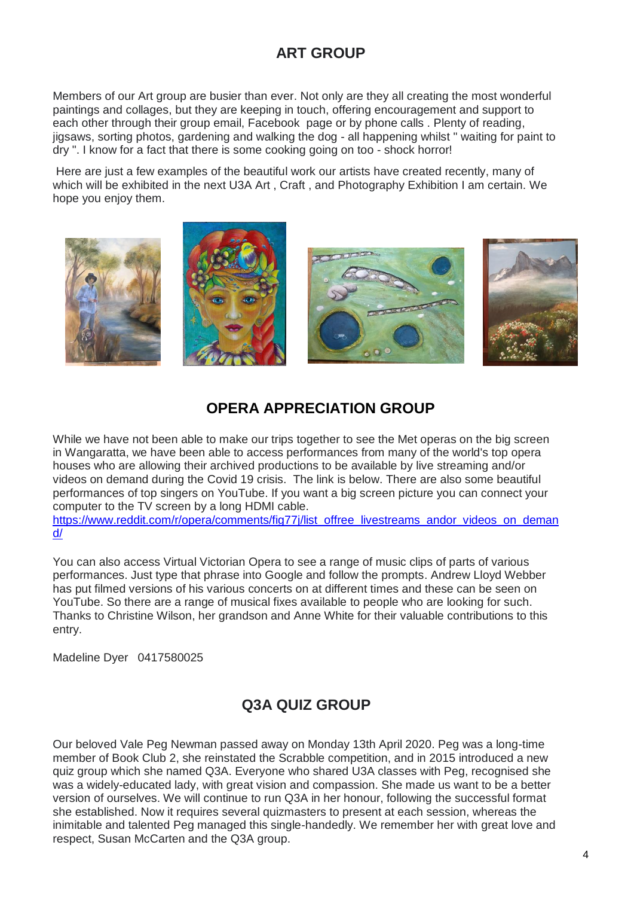# **ART GROUP**

Members of our Art group are busier than ever. Not only are they all creating the most wonderful paintings and collages, but they are keeping in touch, offering encouragement and support to each other through their group email, Facebook page or by phone calls . Plenty of reading, jigsaws, sorting photos, gardening and walking the dog - all happening whilst " waiting for paint to dry ". I know for a fact that there is some cooking going on too - shock horror!

Here are just a few examples of the beautiful work our artists have created recently, many of which will be exhibited in the next U3A Art , Craft , and Photography Exhibition I am certain. We hope you enjoy them.



# **OPERA APPRECIATION GROUP**

While we have not been able to make our trips together to see the Met operas on the big screen in Wangaratta, we have been able to access performances from many of the world's top opera houses who are allowing their archived productions to be available by live streaming and/or videos on demand during the Covid 19 crisis. The link is below. There are also some beautiful performances of top singers on YouTube. If you want a big screen picture you can connect your computer to the TV screen by a long HDMI cable.

[https://www.reddit.com/r/opera/comments/fig77j/list\\_offree\\_livestreams\\_andor\\_videos\\_on\\_deman](https://www.reddit.com/r/opera/comments/fig77j/list_of_free_livestreams_andor_videos_on_demand/) [d/](https://www.reddit.com/r/opera/comments/fig77j/list_of_free_livestreams_andor_videos_on_demand/)

You can also access Virtual Victorian Opera to see a range of music clips of parts of various performances. Just type that phrase into Google and follow the prompts. Andrew Lloyd Webber has put filmed versions of his various concerts on at different times and these can be seen on YouTube. So there are a range of musical fixes available to people who are looking for such. Thanks to Christine Wilson, her grandson and Anne White for their valuable contributions to this entry.

Madeline Dyer 0417580025

# **Q3A QUIZ GROUP**

Our beloved Vale Peg Newman passed away on Monday 13th April 2020. Peg was a long-time member of Book Club 2, she reinstated the Scrabble competition, and in 2015 introduced a new quiz group which she named Q3A. Everyone who shared U3A classes with Peg, recognised she was a widely-educated lady, with great vision and compassion. She made us want to be a better version of ourselves. We will continue to run Q3A in her honour, following the successful format she established. Now it requires several quizmasters to present at each session, whereas the inimitable and talented Peg managed this single-handedly. We remember her with great love and respect, Susan McCarten and the Q3A group.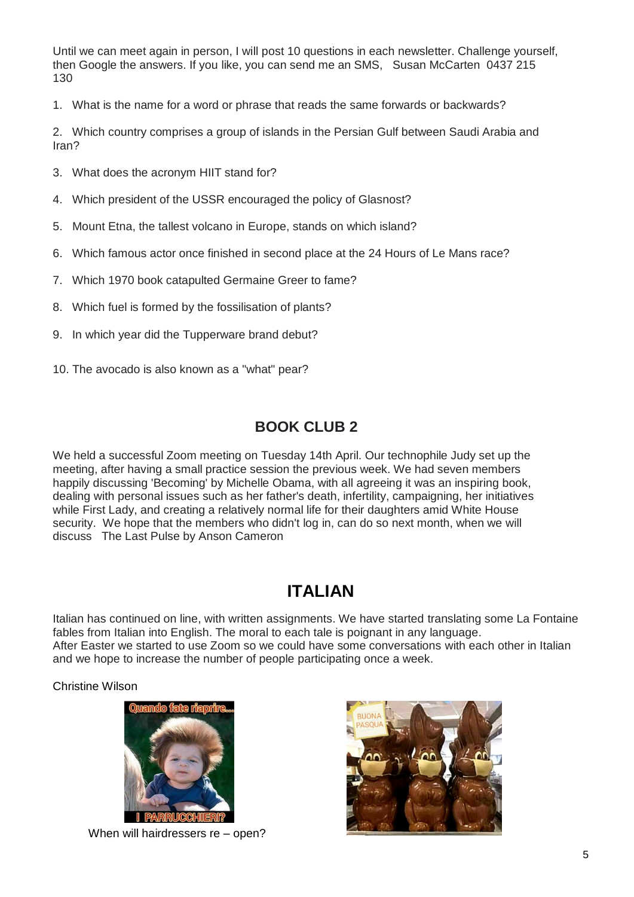Until we can meet again in person, I will post 10 questions in each newsletter. Challenge yourself, then Google the answers. If you like, you can send me an SMS, Susan McCarten 0437 215 130

1. What is the name for a word or phrase that reads the same forwards or backwards?

2. Which country comprises a group of islands in the Persian Gulf between Saudi Arabia and Iran?

- 3. What does the acronym HIIT stand for?
- 4. Which president of the USSR encouraged the policy of Glasnost?
- 5. Mount Etna, the tallest volcano in Europe, stands on which island?
- 6. Which famous actor once finished in second place at the 24 Hours of Le Mans race?
- 7. Which 1970 book catapulted Germaine Greer to fame?
- 8. Which fuel is formed by the fossilisation of plants?
- 9. In which year did the Tupperware brand debut?
- 10. The avocado is also known as a "what" pear?

## **BOOK CLUB 2**

We held a successful Zoom meeting on Tuesday 14th April. Our technophile Judy set up the meeting, after having a small practice session the previous week. We had seven members happily discussing 'Becoming' by Michelle Obama, with all agreeing it was an inspiring book, dealing with personal issues such as her father's death, infertility, campaigning, her initiatives while First Lady, and creating a relatively normal life for their daughters amid White House security. We hope that the members who didn't log in, can do so next month, when we will discuss The Last Pulse by Anson Cameron

# **ITALIAN**

Italian has continued on line, with written assignments. We have started translating some La Fontaine fables from Italian into English. The moral to each tale is poignant in any language. After Easter we started to use Zoom so we could have some conversations with each other in Italian and we hope to increase the number of people participating once a week.

Christine Wilson



When will hairdressers re – open?

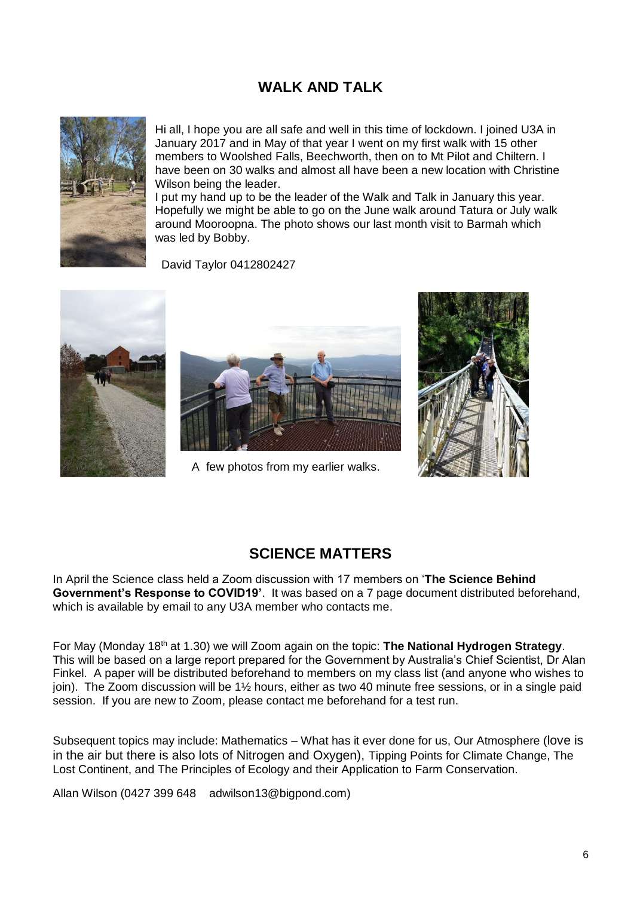# **WALK AND TALK**



Hi all, I hope you are all safe and well in this time of lockdown. I joined U3A in January 2017 and in May of that year I went on my first walk with 15 other members to Woolshed Falls, Beechworth, then on to Mt Pilot and Chiltern. I have been on 30 walks and almost all have been a new location with Christine Wilson being the leader.

I put my hand up to be the leader of the Walk and Talk in January this year. Hopefully we might be able to go on the June walk around Tatura or July walk around Mooroopna. The photo shows our last month visit to Barmah which was led by Bobby.

David Taylor 0412802427





A few photos from my earlier walks.



#### **SCIENCE MATTERS**

In April the Science class held a Zoom discussion with 17 members on '**The Science Behind Government's Response to COVID19'**. It was based on a 7 page document distributed beforehand, which is available by email to any U3A member who contacts me.

For May (Monday 18<sup>th</sup> at 1.30) we will Zoom again on the topic: **The National Hydrogen Strategy**. This will be based on a large report prepared for the Government by Australia's Chief Scientist, Dr Alan Finkel. A paper will be distributed beforehand to members on my class list (and anyone who wishes to join). The Zoom discussion will be 1½ hours, either as two 40 minute free sessions, or in a single paid session. If you are new to Zoom, please contact me beforehand for a test run.

Subsequent topics may include: Mathematics – What has it ever done for us, Our Atmosphere (love is in the air but there is also lots of Nitrogen and Oxygen), Tipping Points for Climate Change, The Lost Continent, and The Principles of Ecology and their Application to Farm Conservation.

Allan Wilson (0427 399 648 adwilson13@bigpond.com)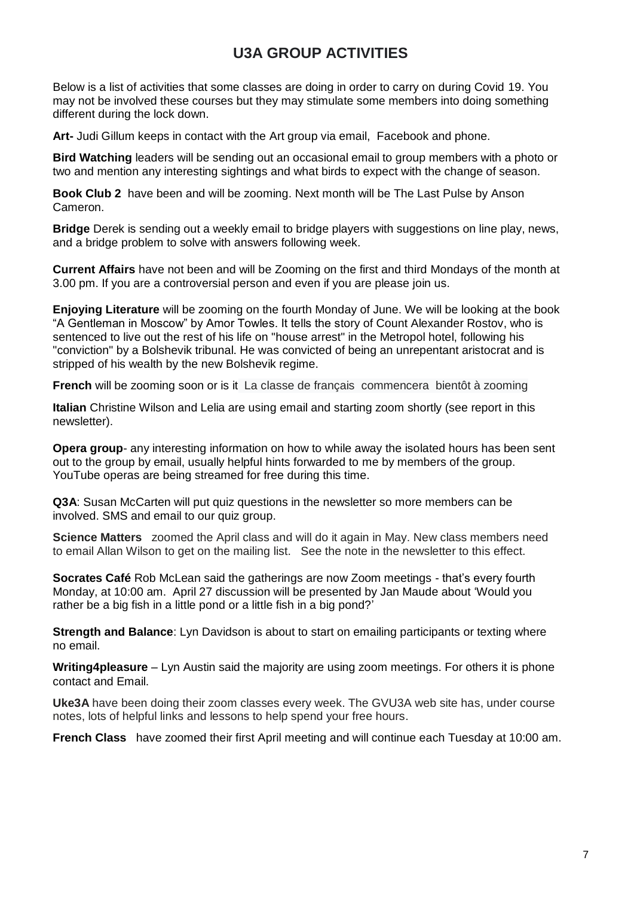# **U3A GROUP ACTIVITIES**

Below is a list of activities that some classes are doing in order to carry on during Covid 19. You may not be involved these courses but they may stimulate some members into doing something different during the lock down.

**Art-** Judi Gillum keeps in contact with the Art group via email, Facebook and phone.

**Bird Watching** leaders will be sending out an occasional email to group members with a photo or two and mention any interesting sightings and what birds to expect with the change of season.

**Book Club 2** have been and will be zooming. Next month will be The Last Pulse by Anson Cameron.

**Bridge** Derek is sending out a weekly email to bridge players with suggestions on line play, news, and a bridge problem to solve with answers following week.

**Current Affairs** have not been and will be Zooming on the first and third Mondays of the month at 3.00 pm. If you are a controversial person and even if you are please join us.

**Enjoying Literature** will be zooming on the fourth Monday of June. We will be looking at the book "A Gentleman in Moscow" by Amor Towles. It tells the story of Count Alexander Rostov, who is sentenced to live out the rest of his life on "house arrest" in the Metropol hotel, following his "conviction" by a Bolshevik tribunal. He was convicted of being an unrepentant aristocrat and is stripped of his wealth by the new Bolshevik regime.

**French** will be zooming soon or is it La classe de français commencera bientôt à zooming

**Italian** Christine Wilson and Lelia are using email and starting zoom shortly (see report in this newsletter).

**Opera group**- any interesting information on how to while away the isolated hours has been sent out to the group by email, usually helpful hints forwarded to me by members of the group. YouTube operas are being streamed for free during this time.

**Q3A**: Susan McCarten will put quiz questions in the newsletter so more members can be involved. SMS and email to our quiz group.

**Science Matters** zoomed the April class and will do it again in May. New class members need to email Allan Wilson to get on the mailing list. See the note in the newsletter to this effect.

**Socrates Café** Rob McLean said the gatherings are now Zoom meetings - that's every fourth Monday, at 10:00 am. April 27 discussion will be presented by Jan Maude about 'Would you rather be a big fish in a little pond or a little fish in a big pond?'

**Strength and Balance**: Lyn Davidson is about to start on emailing participants or texting where no email.

**Writing4pleasure** – Lyn Austin said the majority are using zoom meetings. For others it is phone contact and Email.

**Uke3A** have been doing their zoom classes every week. The GVU3A web site has, under course notes, lots of helpful links and lessons to help spend your free hours.

**French Class** have zoomed their first April meeting and will continue each Tuesday at 10:00 am.